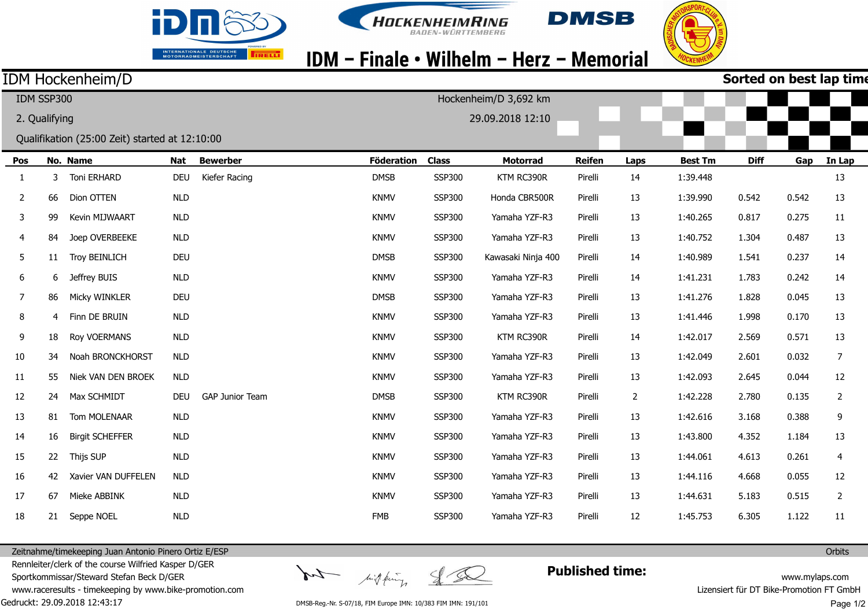





## IDM - Finale • Wilhelm - Herz - Memorial

### IDM Hockenheim/D

| Sorted on best lap time |  |  |  |
|-------------------------|--|--|--|
|-------------------------|--|--|--|

| IDM SSP300<br>Hockenheim/D 3,692 km |                                   |                                                |            |                        |                   |               |                    |               |                |                |             |       |                         |
|-------------------------------------|-----------------------------------|------------------------------------------------|------------|------------------------|-------------------|---------------|--------------------|---------------|----------------|----------------|-------------|-------|-------------------------|
|                                     | 2. Qualifying<br>29.09.2018 12:10 |                                                |            |                        |                   |               |                    |               |                |                |             |       |                         |
|                                     |                                   | Qualifikation (25:00 Zeit) started at 12:10:00 |            |                        |                   |               |                    |               |                |                |             |       |                         |
| Pos                                 |                                   | No. Name                                       | <b>Nat</b> | <b>Bewerber</b>        | <b>Föderation</b> | <b>Class</b>  | <b>Motorrad</b>    | <b>Reifen</b> | Laps           | <b>Best Tm</b> | <b>Diff</b> | Gap   | In Lap                  |
| 1                                   | 3                                 | Toni ERHARD                                    | DEU        | Kiefer Racing          | <b>DMSB</b>       | SSP300        | KTM RC390R         | Pirelli       | 14             | 1:39.448       |             |       | 13                      |
| 2                                   | 66                                | Dion OTTEN                                     | <b>NLD</b> |                        | <b>KNMV</b>       | SSP300        | Honda CBR500R      | Pirelli       | 13             | 1:39.990       | 0.542       | 0.542 | 13                      |
| 3                                   | 99                                | Kevin MIJWAART                                 | <b>NLD</b> |                        | <b>KNMV</b>       | SSP300        | Yamaha YZF-R3      | Pirelli       | 13             | 1:40.265       | 0.817       | 0.275 | 11                      |
| 4                                   | 84                                | Joep OVERBEEKE                                 | <b>NLD</b> |                        | <b>KNMV</b>       | <b>SSP300</b> | Yamaha YZF-R3      | Pirelli       | 13             | 1:40.752       | 1.304       | 0.487 | 13                      |
| 5                                   | 11                                | <b>Troy BEINLICH</b>                           | <b>DEU</b> |                        | <b>DMSB</b>       | SSP300        | Kawasaki Ninja 400 | Pirelli       | 14             | 1:40.989       | 1.541       | 0.237 | 14                      |
| 6                                   | 6                                 | Jeffrey BUIS                                   | NLD        |                        | <b>KNMV</b>       | SSP300        | Yamaha YZF-R3      | Pirelli       | 14             | 1:41.231       | 1.783       | 0.242 | 14                      |
| $\overline{7}$                      | 86                                | Micky WINKLER                                  | <b>DEU</b> |                        | <b>DMSB</b>       | SSP300        | Yamaha YZF-R3      | Pirelli       | 13             | 1:41.276       | 1.828       | 0.045 | 13                      |
| 8                                   | 4                                 | Finn DE BRUIN                                  | <b>NLD</b> |                        | <b>KNMV</b>       | <b>SSP300</b> | Yamaha YZF-R3      | Pirelli       | 13             | 1:41.446       | 1.998       | 0.170 | 13                      |
| 9                                   | 18                                | <b>Roy VOERMANS</b>                            | <b>NLD</b> |                        | <b>KNMV</b>       | SSP300        | KTM RC390R         | Pirelli       | 14             | 1:42.017       | 2.569       | 0.571 | 13                      |
| 10                                  | 34                                | Noah BRONCKHORST                               | <b>NLD</b> |                        | <b>KNMV</b>       | SSP300        | Yamaha YZF-R3      | Pirelli       | 13             | 1:42.049       | 2.601       | 0.032 | 7                       |
| 11                                  | 55                                | Niek VAN DEN BROEK                             | <b>NLD</b> |                        | <b>KNMV</b>       | <b>SSP300</b> | Yamaha YZF-R3      | Pirelli       | 13             | 1:42.093       | 2.645       | 0.044 | 12                      |
| 12                                  | 24                                | Max SCHMIDT                                    | <b>DEU</b> | <b>GAP Junior Team</b> | <b>DMSB</b>       | SSP300        | KTM RC390R         | Pirelli       | $\overline{2}$ | 1:42.228       | 2.780       | 0.135 | $\overline{2}$          |
| 13                                  | 81                                | Tom MOLENAAR                                   | <b>NLD</b> |                        | <b>KNMV</b>       | SSP300        | Yamaha YZF-R3      | Pirelli       | 13             | 1:42.616       | 3.168       | 0.388 | 9                       |
| 14                                  | 16                                | <b>Birgit SCHEFFER</b>                         | <b>NLD</b> |                        | <b>KNMV</b>       | SSP300        | Yamaha YZF-R3      | Pirelli       | 13             | 1:43.800       | 4.352       | 1.184 | 13                      |
| 15                                  | 22                                | Thijs SUP                                      | <b>NLD</b> |                        | <b>KNMV</b>       | <b>SSP300</b> | Yamaha YZF-R3      | Pirelli       | 13             | 1:44.061       | 4.613       | 0.261 | $\overline{\mathbf{4}}$ |
| 16                                  | 42                                | Xavier VAN DUFFELEN                            | <b>NLD</b> |                        | <b>KNMV</b>       | SSP300        | Yamaha YZF-R3      | Pirelli       | 13             | 1:44.116       | 4.668       | 0.055 | 12                      |
| 17                                  | 67                                | Mieke ABBINK                                   | <b>NLD</b> |                        | <b>KNMV</b>       | SSP300        | Yamaha YZF-R3      | Pirelli       | 13             | 1:44.631       | 5.183       | 0.515 | $\overline{2}$          |
| 18                                  | 21                                | Seppe NOEL                                     | <b>NLD</b> |                        | <b>FMB</b>        | <b>SSP300</b> | Yamaha YZF-R3      | Pirelli       | 12             | 1:45.753       | 6.305       | 1.122 | 11                      |

Zeitnahme/timekeeping Juan Antonio Pinero Ortiz E/ESP Rennleiter/clerk of the course Wilfried Kasper D/GER

Sportkommissar/Steward Stefan Beck D/GER

Gedruckt: 29.09.2018 12:43:17 www.raceresults - timekeeping by www.bike-promotion.com

tof highering  $\leq$ Set

**Published time:**

www.mylaps.com Lizensiert für DT Bike-Promotion FT GmbH Page 1/2

**Orbits** 

DMSB-Reg.-Nr. S-07/18, FIM Europe IMN: 10/383 FIM IMN: 191/101